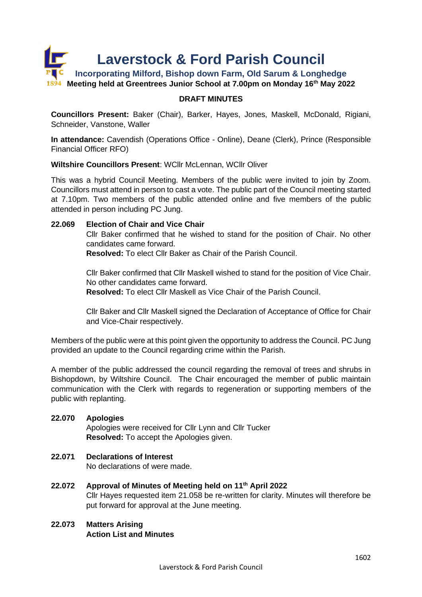

### **DRAFT MINUTES**

**Councillors Present:** Baker (Chair), Barker, Hayes, Jones, Maskell, McDonald, Rigiani, Schneider, Vanstone, Waller

**In attendance:** Cavendish (Operations Office - Online), Deane (Clerk), Prince (Responsible Financial Officer RFO)

#### **Wiltshire Councillors Present**: WCllr McLennan, WCllr Oliver

This was a hybrid Council Meeting. Members of the public were invited to join by Zoom. Councillors must attend in person to cast a vote. The public part of the Council meeting started at 7.10pm. Two members of the public attended online and five members of the public attended in person including PC Jung.

#### **22.069 Election of Chair and Vice Chair**

Cllr Baker confirmed that he wished to stand for the position of Chair. No other candidates came forward.

**Resolved:** To elect Cllr Baker as Chair of the Parish Council.

Cllr Baker confirmed that Cllr Maskell wished to stand for the position of Vice Chair. No other candidates came forward.

**Resolved:** To elect Cllr Maskell as Vice Chair of the Parish Council.

Cllr Baker and Cllr Maskell signed the Declaration of Acceptance of Office for Chair and Vice-Chair respectively.

Members of the public were at this point given the opportunity to address the Council. PC Jung provided an update to the Council regarding crime within the Parish.

A member of the public addressed the council regarding the removal of trees and shrubs in Bishopdown, by Wiltshire Council. The Chair encouraged the member of public maintain communication with the Clerk with regards to regeneration or supporting members of the public with replanting.

### **22.070 Apologies**

Apologies were received for Cllr Lynn and Cllr Tucker **Resolved:** To accept the Apologies given.

### **22.071 Declarations of Interest**

No declarations of were made.

# **22.072 Approval of Minutes of Meeting held on 11th April 2022**

Cllr Hayes requested item 21.058 be re-written for clarity. Minutes will therefore be put forward for approval at the June meeting.

# **22.073 Matters Arising Action List and Minutes**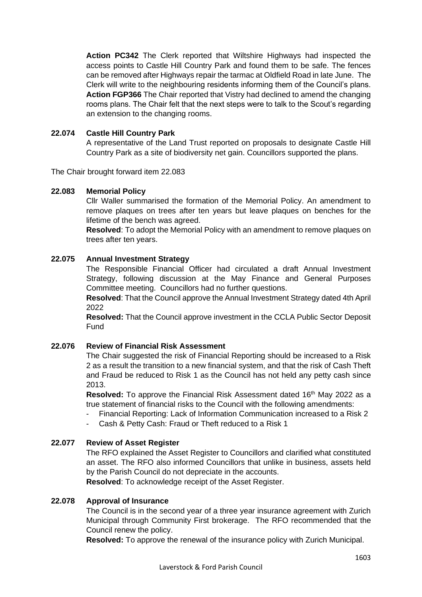**Action PC342** The Clerk reported that Wiltshire Highways had inspected the access points to Castle Hill Country Park and found them to be safe. The fences can be removed after Highways repair the tarmac at Oldfield Road in late June. The Clerk will write to the neighbouring residents informing them of the Council's plans. **Action FGP366** The Chair reported that Vistry had declined to amend the changing rooms plans. The Chair felt that the next steps were to talk to the Scout's regarding an extension to the changing rooms.

# **22.074 Castle Hill Country Park**

A representative of the Land Trust reported on proposals to designate Castle Hill Country Park as a site of biodiversity net gain. Councillors supported the plans.

The Chair brought forward item 22.083

### **22.083 Memorial Policy**

Cllr Waller summarised the formation of the Memorial Policy. An amendment to remove plaques on trees after ten years but leave plaques on benches for the lifetime of the bench was agreed.

**Resolved**: To adopt the Memorial Policy with an amendment to remove plaques on trees after ten years.

### **22.075 Annual Investment Strategy**

The Responsible Financial Officer had circulated a draft Annual Investment Strategy, following discussion at the May Finance and General Purposes Committee meeting. Councillors had no further questions.

**Resolved**: That the Council approve the Annual Investment Strategy dated 4th April 2022

**Resolved:** That the Council approve investment in the CCLA Public Sector Deposit Fund

### **22.076 Review of Financial Risk Assessment**

The Chair suggested the risk of Financial Reporting should be increased to a Risk 2 as a result the transition to a new financial system, and that the risk of Cash Theft and Fraud be reduced to Risk 1 as the Council has not held any petty cash since 2013.

**Resolved:** To approve the Financial Risk Assessment dated 16<sup>th</sup> May 2022 as a true statement of financial risks to the Council with the following amendments:

- Financial Reporting: Lack of Information Communication increased to a Risk 2
- Cash & Petty Cash: Fraud or Theft reduced to a Risk 1

### **22.077 Review of Asset Register**

The RFO explained the Asset Register to Councillors and clarified what constituted an asset. The RFO also informed Councillors that unlike in business, assets held by the Parish Council do not depreciate in the accounts.

**Resolved**: To acknowledge receipt of the Asset Register.

#### **22.078 Approval of Insurance**

The Council is in the second year of a three year insurance agreement with Zurich Municipal through Community First brokerage. The RFO recommended that the Council renew the policy.

**Resolved:** To approve the renewal of the insurance policy with Zurich Municipal.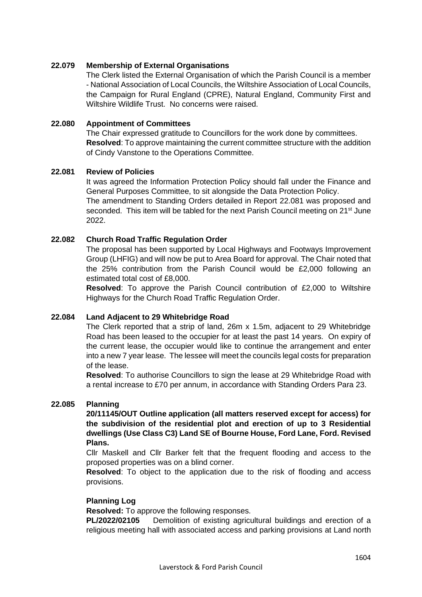## **22.079 Membership of External Organisations**

The Clerk listed the External Organisation of which the Parish Council is a member - National Association of Local Councils, the Wiltshire Association of Local Councils, the Campaign for Rural England (CPRE), Natural England, Community First and Wiltshire Wildlife Trust. No concerns were raised.

### **22.080 Appointment of Committees**

The Chair expressed gratitude to Councillors for the work done by committees. **Resolved**: To approve maintaining the current committee structure with the addition of Cindy Vanstone to the Operations Committee.

### **22.081 Review of Policies**

It was agreed the Information Protection Policy should fall under the Finance and General Purposes Committee, to sit alongside the Data Protection Policy. The amendment to Standing Orders detailed in Report 22.081 was proposed and seconded. This item will be tabled for the next Parish Council meeting on 21<sup>st</sup> June 2022.

### **22.082 Church Road Traffic Regulation Order**

The proposal has been supported by Local Highways and Footways Improvement Group (LHFIG) and will now be put to Area Board for approval. The Chair noted that the 25% contribution from the Parish Council would be £2,000 following an estimated total cost of £8,000.

**Resolved**: To approve the Parish Council contribution of £2,000 to Wiltshire Highways for the Church Road Traffic Regulation Order.

### **22.084 Land Adjacent to 29 Whitebridge Road**

The Clerk reported that a strip of land, 26m x 1.5m, adjacent to 29 Whitebridge Road has been leased to the occupier for at least the past 14 years. On expiry of the current lease, the occupier would like to continue the arrangement and enter into a new 7 year lease. The lessee will meet the councils legal costs for preparation of the lease.

**Resolved**: To authorise Councillors to sign the lease at 29 Whitebridge Road with a rental increase to £70 per annum, in accordance with Standing Orders Para 23.

### **22.085 Planning**

**20/11145/OUT Outline application (all matters reserved except for access) for the subdivision of the residential plot and erection of up to 3 Residential dwellings (Use Class C3) Land SE of Bourne House, Ford Lane, Ford. Revised Plans.**

Cllr Maskell and Cllr Barker felt that the frequent flooding and access to the proposed properties was on a blind corner.

**Resolved**: To object to the application due to the risk of flooding and access provisions.

### **Planning Log**

**Resolved:** To approve the following responses.

**PL/2022/02105** Demolition of existing agricultural buildings and erection of a religious meeting hall with associated access and parking provisions at Land north